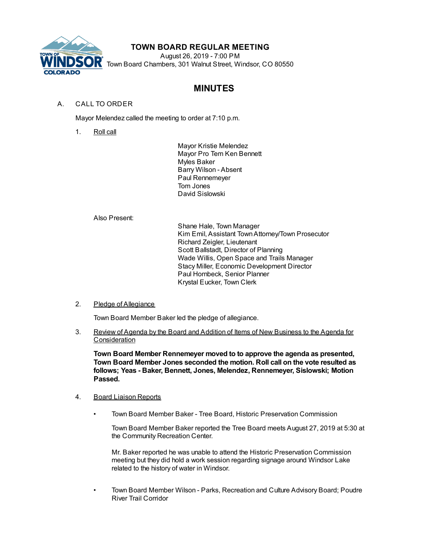

## **TOWN BOARD REGULAR MEETING**

August 26, 2019 - 7:00 PM Town Board Chambers, 301 Walnut Street, Windsor, CO 80550

# **MINUTES**

## A. CALL TO ORDER

Mayor Melendez called the meeting to order at 7:10 p.m.

1. Roll call

Mayor Kristie Melendez Mayor Pro Tem Ken Bennett Myles Baker Barry Wilson - Absent Paul Rennemeyer Tom Jones David Sislowski

Also Present:

Shane Hale, Town Manager Kim Emil, Assistant TownAttorney/Town Prosecutor Richard Zeigler, Lieutenant Scott Ballstadt, Director of Planning Wade Willis, Open Space and Trails Manager Stacy Miller, Economic Development Director Paul Hornbeck, Senior Planner Krystal Eucker, Town Clerk

### 2. Pledge of Allegiance

Town Board Member Baker led the pledge of allegiance.

3. Review of Agenda by the Board and Addition of Items of New Business to the Agenda for **Consideration** 

**Town Board Member Rennemeyer moved to to approve the agenda as presented, Town Board Member Jones seconded the motion. Roll call on the vote resulted as follows; Yeas - Baker, Bennett, Jones, Melendez, Rennemeyer, Sislowski; Motion Passed.**

- 4. Board Liaison Reports
	- Town Board Member Baker Tree Board, Historic Preservation Commission

Town Board Member Baker reported the Tree Board meets August 27, 2019 at 5:30 at the Community Recreation Center.

Mr. Baker reported he was unable to attend the Historic Preservation Commission meeting but they did hold a work session regarding signage around Windsor Lake related to the history of water in Windsor.

• Town Board Member Wilson - Parks, Recreation and Culture Advisory Board; Poudre River Trail Corridor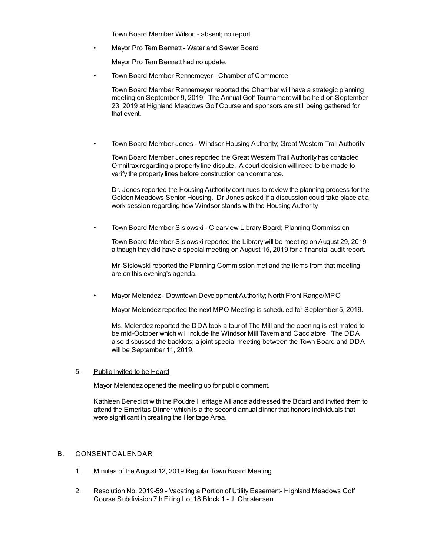Town Board Member Wilson - absent; no report.

• Mayor Pro Tem Bennett - Water and Sewer Board

Mayor Pro Tem Bennett had no update.

• Town Board Member Rennemeyer - Chamber of Commerce

Town Board Member Rennemeyer reported the Chamber will have a strategic planning meeting on September 9, 2019. The Annual Golf Tournament will be held on September 23, 2019 at Highland Meadows Golf Course and sponsors are still being gathered for that event.

• Town Board Member Jones - Windsor Housing Authority; Great Western Trail Authority

Town Board Member Jones reported the Great Western Trail Authority has contacted Omnitrax regarding a property line dispute. A court decision will need to be made to verify the property lines before construction can commence.

Dr. Jones reported the Housing Authority continues to review the planning process for the Golden Meadows Senior Housing. Dr Jones asked if a discussion could take place at a work session regarding how Windsor stands with the Housing Authority.

• Town Board Member Sislowski - Clearview Library Board; Planning Commission

Town Board Member Sislowski reported the Library will be meeting onAugust 29, 2019 although they did have a special meeting onAugust 15, 2019 for a financial audit report.

Mr. Sislowski reported the Planning Commission met and the items from that meeting are on this evening's agenda.

• Mayor Melendez - Downtown Development Authority; North Front Range/MPO

Mayor Melendez reported the next MPO Meeting is scheduled for September 5, 2019.

Ms. Melendez reported the DDA took a tour of The Mill and the opening is estimated to be mid-October which will include the Windsor Mill Tavern and Cacciatore. The DDA also discussed the backlots; a joint special meeting between the Town Board and DDA will be September 11, 2019.

#### 5. Public Invited to be Heard

Mayor Melendez opened the meeting up for public comment.

Kathleen Benedict with the Poudre Heritage Alliance addressed the Board and invited them to attend the Emeritas Dinner which is a the second annual dinner that honors individuals that were significant in creating the Heritage Area.

#### B. CONSENT CALENDAR

- 1. Minutes of the August 12, 2019 Regular Town Board Meeting
- 2. Resolution No. 2019-59 Vacating a Portion of Utility Easement- Highland Meadows Golf Course Subdivision 7th Filing Lot 18 Block 1 - J. Christensen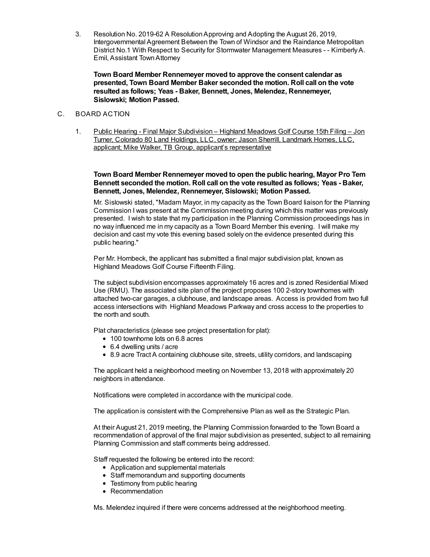3. Resolution No. 2019-62 A ResolutionApproving and Adopting the August 26, 2019, Intergovernmental Agreement Between the Town of Windsor and the Raindance Metropolitan District No.1 With Respect to Security for Stormwater Management Measures - - KimberlyA. Emil, Assistant TownAttorney

**Town Board Member Rennemeyer moved to approve the consent calendar as presented, Town Board Member Baker seconded the motion. Roll call on the vote resulted as follows; Yeas - Baker, Bennett, Jones, Melendez, Rennemeyer, Sislowski; Motion Passed.**

#### C. BOARD ACTION

1. Public Hearing - Final Major Subdivision – Highland Meadows Golf Course 15th Filing – Jon Turner, Colorado 80 Land Holdings, LLC, owner; Jason Sherrill, Landmark Homes, LLC, applicant; Mike Walker, TB Group, applicant's representative

**Town Board Member Rennemeyer moved to open the public hearing, Mayor Pro Tem Bennett seconded the motion. Roll call on the vote resulted as follows; Yeas - Baker, Bennett, Jones, Melendez, Rennemeyer, Sislowski; Motion Passed.**

Mr. Sislowski stated, "Madam Mayor, in my capacity as the Town Board liaison for the Planning Commission I was present at the Commission meeting during which this matter was previously presented. I wish to state that my participation in the Planning Commission proceedings has in no way influenced me in my capacity as a Town Board Member this evening. I will make my decision and cast my vote this evening based solely on the evidence presented during this public hearing."

Per Mr. Hornbeck, the applicant has submitted a final major subdivision plat, known as Highland Meadows Golf Course Fifteenth Filing.

The subject subdivision encompasses approximately 16 acres and is zoned Residential Mixed Use (RMU). The associated site plan of the project proposes 100 2-story townhomes with attached two-car garages, a clubhouse, and landscape areas. Access is provided from two full access intersections with Highland Meadows Parkway and cross access to the properties to the north and south.

Plat characteristics (please see project presentation for plat):

- 100 townhome lots on 6.8 acres
- 6.4 dwelling units / acre
- 8.9 acre Tract A containing clubhouse site, streets, utility corridors, and landscaping

The applicant held a neighborhood meeting on November 13, 2018 with approximately 20 neighbors in attendance.

Notifications were completed in accordance with the municipal code.

The application is consistent with the Comprehensive Plan as well as the Strategic Plan.

At their August 21, 2019 meeting, the Planning Commission forwarded to the Town Board a recommendation of approval of the final major subdivision as presented, subject to all remaining Planning Commission and staff comments being addressed.

Staff requested the following be entered into the record:

- Application and supplemental materials
- Staff memorandum and supporting documents
- Testimony from public hearing
- Recommendation

Ms. Melendez inquired if there were concerns addressed at the neighborhood meeting.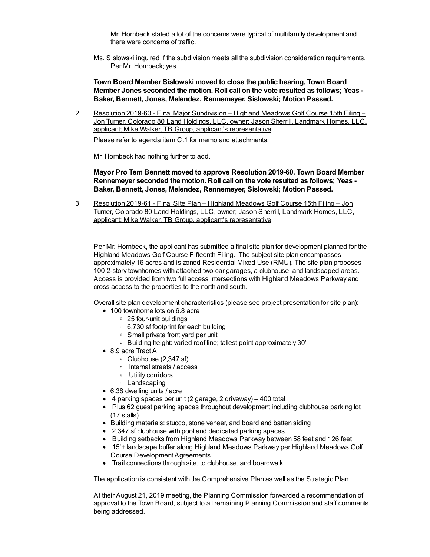Mr. Hornbeck stated a lot of the concerns were typical of multifamily development and there were concerns of traffic.

Ms. Sislowski inquired if the subdivision meets all the subdivision consideration requirements. Per Mr. Hornbeck; yes.

**Town Board Member Sislowski moved to close the public hearing, Town Board Member Jones seconded the motion. Roll call on the vote resulted as follows; Yeas - Baker, Bennett, Jones, Melendez, Rennemeyer, Sislowski; Motion Passed.**

2. Resolution 2019-60 - Final Major Subdivision – Highland Meadows Golf Course 15th Filing – Jon Turner, Colorado 80 Land Holdings, LLC, owner; Jason Sherrill, Landmark Homes, LLC, applicant; Mike Walker, TB Group, applicant's representative

Please refer to agenda item C.1 for memo and attachments.

Mr. Hornbeck had nothing further to add.

**Mayor Pro Tem Bennett moved to approve Resolution 2019-60, Town Board Member Rennemeyer seconded the motion. Roll call on the vote resulted as follows; Yeas - Baker, Bennett, Jones, Melendez, Rennemeyer, Sislowski; Motion Passed.**

3. Resolution 2019-61 - Final Site Plan – Highland Meadows Golf Course 15th Filing – Jon Turner, Colorado 80 Land Holdings, LLC, owner; Jason Sherrill, Landmark Homes, LLC, applicant; Mike Walker, TB Group, applicant's representative

Per Mr. Hornbeck, the applicant has submitted a final site plan for development planned for the Highland Meadows Golf Course Fifteenth Filing. The subject site plan encompasses approximately 16 acres and is zoned Residential Mixed Use (RMU). The site plan proposes 100 2-story townhomes with attached two-car garages, a clubhouse, and landscaped areas. Access is provided from two full access intersections with Highland Meadows Parkway and cross access to the properties to the north and south.

Overall site plan development characteristics (please see project presentation for site plan):

- 100 townhome lots on 6.8 acre
	- 25 four-unit buildings
	- 6,730 sf footprint for each building
	- Small private front yard per unit
	- Building height: varied roof line; tallest point approximately 30'
- 8.9 acre Tract A
	- Clubhouse (2,347 sf)
	- o Internal streets / access
	- Utility corridors
	- Landscaping
- 6.38 dwelling units / acre
- $\bullet$  4 parking spaces per unit (2 garage, 2 driveway) 400 total
- Plus 62 guest parking spaces throughout development including clubhouse parking lot (17 stalls)
- Building materials: stucco, stone veneer, and board and batten siding
- 2,347 sf clubhouse with pool and dedicated parking spaces
- **•** Building setbacks from Highland Meadows Parkway between 58 feet and 126 feet
- 15'+ landscape buffer along Highland Meadows Parkway per Highland Meadows Golf Course Development Agreements
- Trail connections through site, to clubhouse, and boardwalk

The application is consistent with the Comprehensive Plan as well as the Strategic Plan.

At their August 21, 2019 meeting, the Planning Commission forwarded a recommendation of approval to the Town Board, subject to all remaining Planning Commission and staff comments being addressed.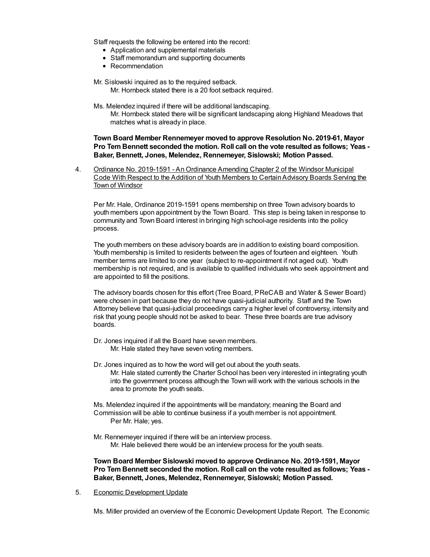Staff requests the following be entered into the record:

- Application and supplemental materials
- Staff memorandum and supporting documents
- Recommendation

Mr. Sislowski inquired as to the required setback. Mr. Hornbeck stated there is a 20 foot setback required.

Ms. Melendez inquired if there will be additional landscaping.

Mr. Hornbeck stated there will be significant landscaping along Highland Meadows that matches what is already in place.

**Town Board Member Rennemeyer moved to approve Resolution No. 2019-61, Mayor Pro Tem Bennett seconded the motion. Roll call on the vote resulted as follows; Yeas - Baker, Bennett, Jones, Melendez, Rennemeyer, Sislowski; Motion Passed.**

4. Ordinance No. 2019-1591 - An Ordinance Amending Chapter 2 of the Windsor Municipal Code With Respect to the Addition of Youth Members to CertainAdvisory Boards Serving the Town of Windsor

Per Mr. Hale, Ordinance 2019-1591 opens membership on three Town advisory boards to youth members upon appointment by the Town Board. This step is being taken in response to community and Town Board interest in bringing high school-age residents into the policy process.

The youth members on these advisory boards are in addition to existing board composition. Youth membership is limited to residents between the ages of fourteen and eighteen. Youth member terms are limited to one year (subject to re-appointment if not aged out). Youth membership is not required, and is available to qualified individuals who seek appointment and are appointed to fill the positions.

The advisory boards chosen for this effort (Tree Board, PReCAB and Water & Sewer Board) were chosen in part because they do not have quasi-judicial authority. Staff and the Town Attorney believe that quasi-judicial proceedings carry a higher level of controversy, intensity and risk that young people should not be asked to bear. These three boards are true advisory boards.

- Dr. Jones inquired if all the Board have seven members. Mr. Hale stated they have seven voting members.
- Dr. Jones inquired as to how the word will get out about the youth seats. Mr. Hale stated currently the Charter School has been very interested in integrating youth into the government process although the Town will work with the various schools in the area to promote the youth seats.

Ms. Melendez inquired if the appointments will be mandatory; meaning the Board and Commission will be able to continue business if a youth member is not appointment. Per Mr. Hale; yes.

Mr. Rennemeyer inquired if there will be an interview process. Mr. Hale believed there would be an interview process for the youth seats.

**Town Board Member Sislowski moved to approve Ordinance No. 2019-1591, Mayor Pro Tem Bennett seconded the motion. Roll call on the vote resulted as follows; Yeas - Baker, Bennett, Jones, Melendez, Rennemeyer, Sislowski; Motion Passed.**

5. Economic Development Update

Ms. Miller provided an overview of the Economic Development Update Report. The Economic